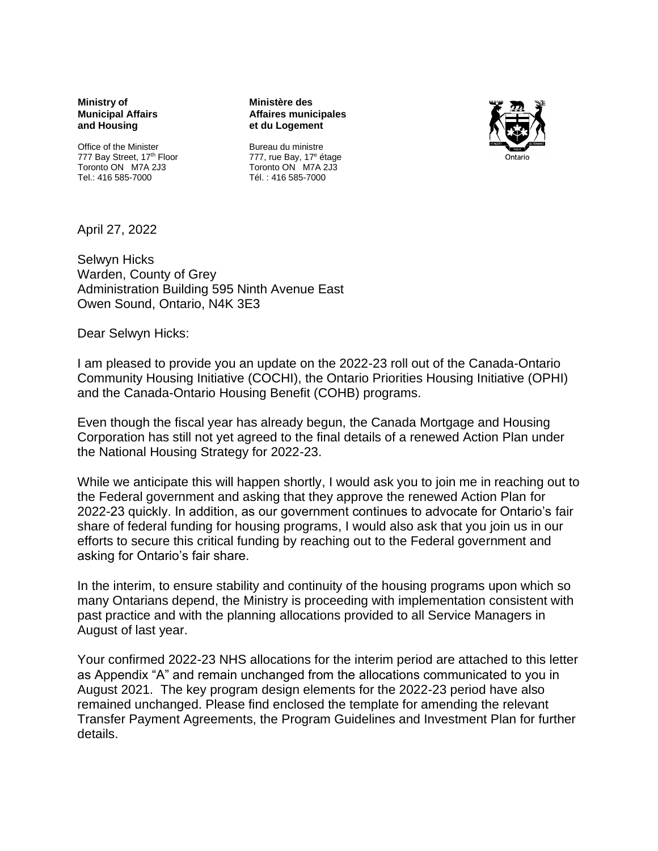**Ministry of Municipal Affairs and Housing**

Office of the Minister 777 Bay Street, 17<sup>th</sup> Floor Toronto ON M7A 2J3 Tel.: 416 585-7000

**Ministère des Affaires municipales et du Logement**



Bureau du ministre 777, rue Bay, 17<sup>e</sup> étage Toronto ON M7A 2J3 Tél. : 416 585-7000

April 27, 2022

Selwyn Hicks Warden, County of Grey Administration Building 595 Ninth Avenue East Owen Sound, Ontario, N4K 3E3

Dear Selwyn Hicks:

I am pleased to provide you an update on the 2022-23 roll out of the Canada-Ontario Community Housing Initiative (COCHI), the Ontario Priorities Housing Initiative (OPHI) and the Canada-Ontario Housing Benefit (COHB) programs.

Even though the fiscal year has already begun, the Canada Mortgage and Housing Corporation has still not yet agreed to the final details of a renewed Action Plan under the National Housing Strategy for 2022-23.

While we anticipate this will happen shortly, I would ask you to join me in reaching out to the Federal government and asking that they approve the renewed Action Plan for 2022-23 quickly. In addition, as our government continues to advocate for Ontario's fair share of federal funding for housing programs, I would also ask that you join us in our efforts to secure this critical funding by reaching out to the Federal government and asking for Ontario's fair share.

In the interim, to ensure stability and continuity of the housing programs upon which so many Ontarians depend, the Ministry is proceeding with implementation consistent with past practice and with the planning allocations provided to all Service Managers in August of last year.

Your confirmed 2022-23 NHS allocations for the interim period are attached to this letter as Appendix "A" and remain unchanged from the allocations communicated to you in August 2021. The key program design elements for the 2022-23 period have also remained unchanged. Please find enclosed the template for amending the relevant Transfer Payment Agreements, the Program Guidelines and Investment Plan for further details.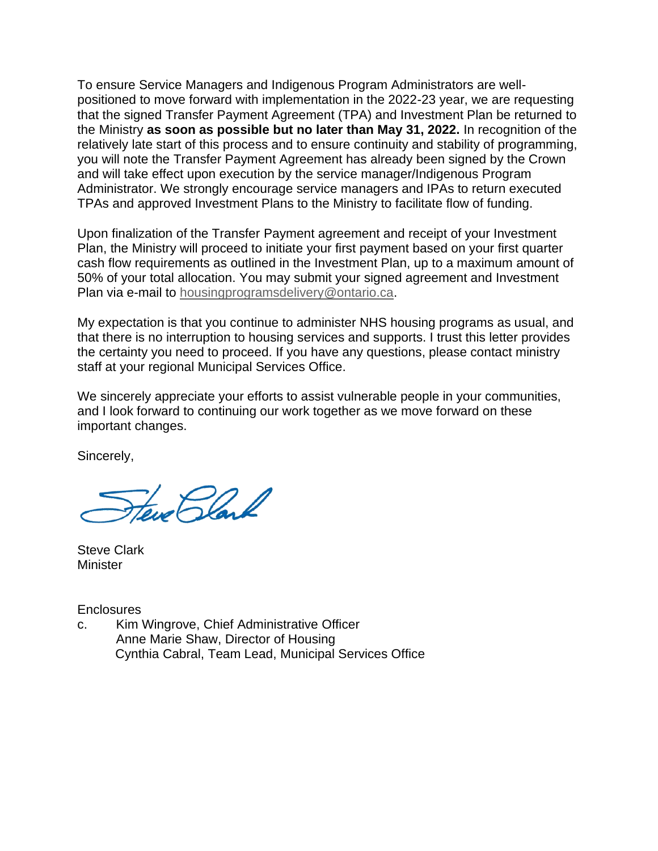To ensure Service Managers and Indigenous Program Administrators are wellpositioned to move forward with implementation in the 2022-23 year, we are requesting that the signed Transfer Payment Agreement (TPA) and Investment Plan be returned to the Ministry **as soon as possible but no later than May 31, 2022.** In recognition of the relatively late start of this process and to ensure continuity and stability of programming, you will note the Transfer Payment Agreement has already been signed by the Crown and will take effect upon execution by the service manager/Indigenous Program Administrator. We strongly encourage service managers and IPAs to return executed TPAs and approved Investment Plans to the Ministry to facilitate flow of funding.

Upon finalization of the Transfer Payment agreement and receipt of your Investment Plan, the Ministry will proceed to initiate your first payment based on your first quarter cash flow requirements as outlined in the Investment Plan, up to a maximum amount of 50% of your total allocation. You may submit your signed agreement and Investment Plan via e-mail to [housingprogramsdelivery@ontario.ca.](mailto:housingprogramsdelivery@ontario.ca)

My expectation is that you continue to administer NHS housing programs as usual, and that there is no interruption to housing services and supports. I trust this letter provides the certainty you need to proceed. If you have any questions, please contact ministry staff at your regional Municipal Services Office.

We sincerely appreciate your efforts to assist vulnerable people in your communities, and I look forward to continuing our work together as we move forward on these important changes.

Sincerely,

Hew Plank

Steve Clark **Minister** 

**Enclosures** 

c. Kim Wingrove, Chief Administrative Officer Anne Marie Shaw, Director of Housing Cynthia Cabral, Team Lead, Municipal Services Office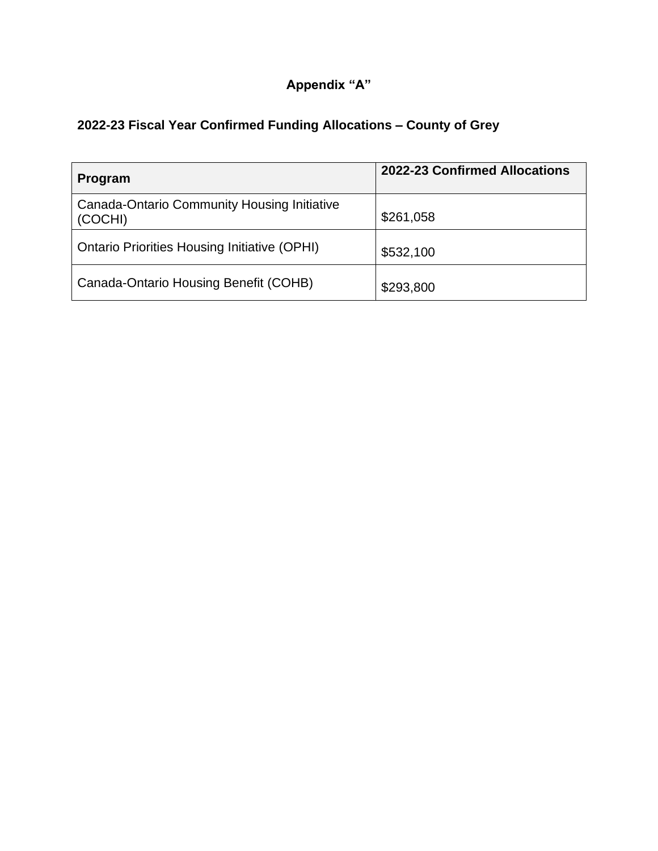## **Appendix "A"**

|  |  | 2022-23 Fiscal Year Confirmed Funding Allocations - County of Grey |
|--|--|--------------------------------------------------------------------|
|  |  |                                                                    |

| Program                                                | 2022-23 Confirmed Allocations |
|--------------------------------------------------------|-------------------------------|
| Canada-Ontario Community Housing Initiative<br>(COCHI) | \$261,058                     |
| <b>Ontario Priorities Housing Initiative (OPHI)</b>    | \$532,100                     |
| Canada-Ontario Housing Benefit (COHB)                  | \$293,800                     |